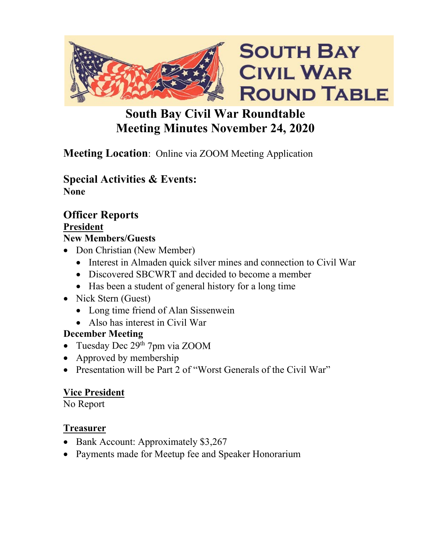

# **South Bay Civil War Roundtable Meeting Minutes November 24, 2020**

# **Meeting Location**: Online via ZOOM Meeting Application

### **Special Activities & Events: None**

## **Officer Reports President**

## **New Members/Guests**

- Don Christian (New Member)
	- Interest in Almaden quick silver mines and connection to Civil War
	- Discovered SBCWRT and decided to become a member
	- Has been a student of general history for a long time
- Nick Stern (Guest)
	- Long time friend of Alan Sissenwein
	- Also has interest in Civil War

### **December Meeting**

- Tuesday Dec  $29<sup>th</sup>$  7pm via ZOOM
- Approved by membership
- Presentation will be Part 2 of "Worst Generals of the Civil War"

# **Vice President**

No Report

### **Treasurer**

- Bank Account: Approximately \$3,267
- Payments made for Meetup fee and Speaker Honorarium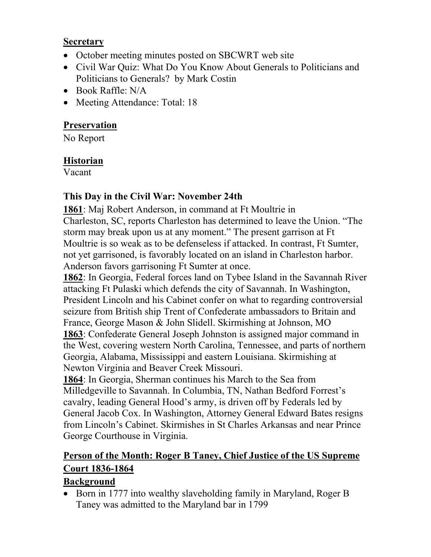#### **Secretary**

- October meeting minutes posted on SBCWRT web site
- Civil War Quiz: What Do You Know About Generals to Politicians and Politicians to Generals? by Mark Costin
- Book Raffle: N/A
- Meeting Attendance: Total: 18

## **Preservation**

No Report

### **Historian**

Vacant

## **This Day in the Civil War: November 24th**

**1861**: Maj Robert Anderson, in command at Ft Moultrie in Charleston, SC, reports Charleston has determined to leave the Union. "The storm may break upon us at any moment." The present garrison at Ft Moultrie is so weak as to be defenseless if attacked. In contrast, Ft Sumter, not yet garrisoned, is favorably located on an island in Charleston harbor. Anderson favors garrisoning Ft Sumter at once.

**1862**: In Georgia, Federal forces land on Tybee Island in the Savannah River attacking Ft Pulaski which defends the city of Savannah. In Washington, President Lincoln and his Cabinet confer on what to regarding controversial seizure from British ship Trent of Confederate ambassadors to Britain and France, George Mason & John Slidell. Skirmishing at Johnson, MO **1863**: Confederate General Joseph Johnston is assigned major command in the West, covering western North Carolina, Tennessee, and parts of northern Georgia, Alabama, Mississippi and eastern Louisiana. Skirmishing at Newton Virginia and Beaver Creek Missouri.

**1864**: In Georgia, Sherman continues his March to the Sea from Milledgeville to Savannah. In Columbia, TN, Nathan Bedford Forrest's cavalry, leading General Hood's army, is driven off by Federals led by General Jacob Cox. In Washington, Attorney General Edward Bates resigns from Lincoln's Cabinet. Skirmishes in St Charles Arkansas and near Prince George Courthouse in Virginia.

# **Person of the Month: Roger B Taney, Chief Justice of the US Supreme Court 1836-1864**

# **Background**

• Born in 1777 into wealthy slaveholding family in Maryland, Roger B Taney was admitted to the Maryland bar in 1799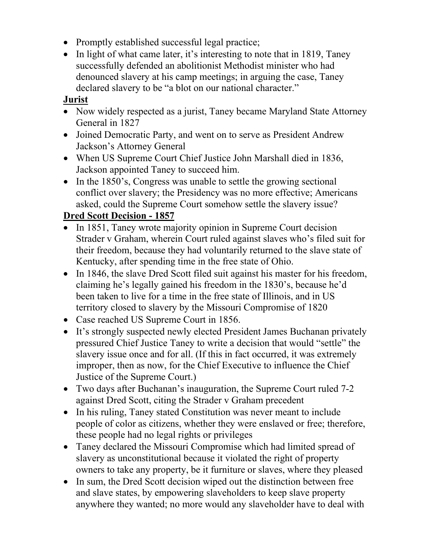- Promptly established successful legal practice;
- In light of what came later, it's interesting to note that in 1819, Taney successfully defended an abolitionist Methodist minister who had denounced slavery at his camp meetings; in arguing the case, Taney declared slavery to be "a blot on our national character."

#### **Jurist**

- Now widely respected as a jurist, Taney became Maryland State Attorney General in 1827
- Joined Democratic Party, and went on to serve as President Andrew Jackson's Attorney General
- When US Supreme Court Chief Justice John Marshall died in 1836, Jackson appointed Taney to succeed him.
- In the 1850's, Congress was unable to settle the growing sectional conflict over slavery; the Presidency was no more effective; Americans asked, could the Supreme Court somehow settle the slavery issue?

### **Dred Scott Decision - 1857**

- In 1851, Taney wrote majority opinion in Supreme Court decision Strader v Graham, wherein Court ruled against slaves who's filed suit for their freedom, because they had voluntarily returned to the slave state of Kentucky, after spending time in the free state of Ohio.
- In 1846, the slave Dred Scott filed suit against his master for his freedom, claiming he's legally gained his freedom in the 1830's, because he'd been taken to live for a time in the free state of Illinois, and in US territory closed to slavery by the Missouri Compromise of 1820
- Case reached US Supreme Court in 1856.
- It's strongly suspected newly elected President James Buchanan privately pressured Chief Justice Taney to write a decision that would "settle" the slavery issue once and for all. (If this in fact occurred, it was extremely improper, then as now, for the Chief Executive to influence the Chief Justice of the Supreme Court.)
- Two days after Buchanan's inauguration, the Supreme Court ruled 7-2 against Dred Scott, citing the Strader v Graham precedent
- In his ruling, Taney stated Constitution was never meant to include people of color as citizens, whether they were enslaved or free; therefore, these people had no legal rights or privileges
- Taney declared the Missouri Compromise which had limited spread of slavery as unconstitutional because it violated the right of property owners to take any property, be it furniture or slaves, where they pleased
- In sum, the Dred Scott decision wiped out the distinction between free and slave states, by empowering slaveholders to keep slave property anywhere they wanted; no more would any slaveholder have to deal with